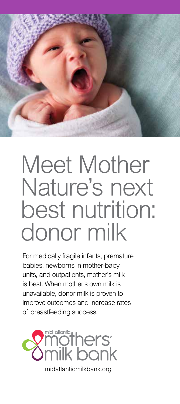

# Meet Mother Nature's next best nutrition: donor milk

For medically fragile infants, premature babies, newborns in mother-baby units, and outpatients, mother's milk is best. When mother's own milk is unavailable, donor milk is proven to improve outcomes and increase rates of breastfeeding success.



midatlanticmilkbank.org